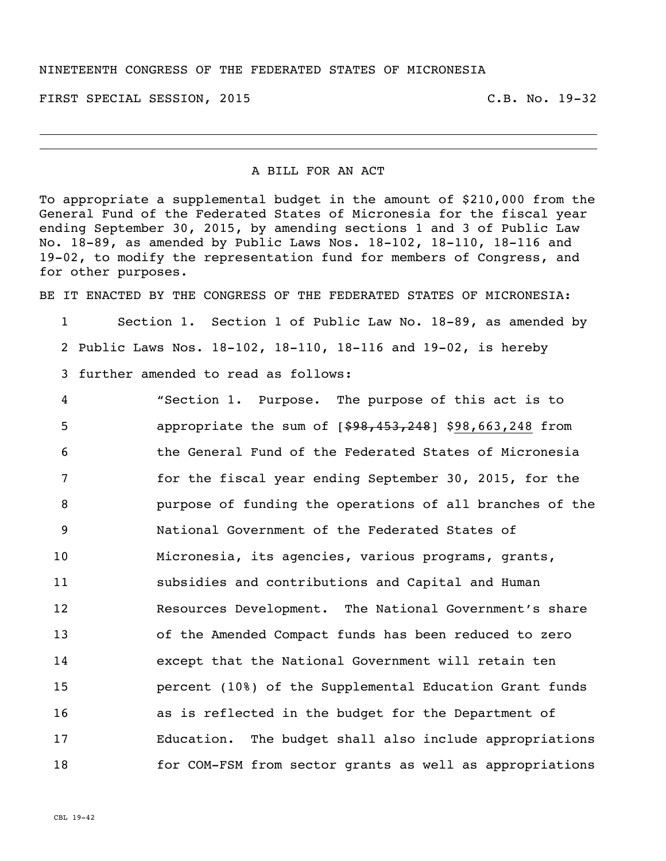FIRST SPECIAL SESSION, 2015 C.B. No. 19-32

## A BILL FOR AN ACT

To appropriate a supplemental budget in the amount of \$210,000 from the General Fund of the Federated States of Micronesia for the fiscal year ending September 30, 2015, by amending sections 1 and 3 of Public Law No. 18-89, as amended by Public Laws Nos. 18-102, 18-110, 18-116 and 19-02, to modify the representation fund for members of Congress, and for other purposes.

BE IT ENACTED BY THE CONGRESS OF THE FEDERATED STATES OF MICRONESTA:

1 Section 1. Section 1 of Public Law No. 18-89, as amended by 2 Public Laws Nos. 18-102, 18-110, 18-116 and 19-02, is hereby

3 further amended to read as follows:

 "Section 1. Purpose. The purpose of this act is to 5 appropriate the sum of  $[$ \$98,453,248] \$98,663,248 from the General Fund of the Federated States of Micronesia for the fiscal year ending September 30, 2015, for the purpose of funding the operations of all branches of the National Government of the Federated States of Micronesia, its agencies, various programs, grants, subsidies and contributions and Capital and Human Resources Development. The National Government's share of the Amended Compact funds has been reduced to zero except that the National Government will retain ten percent (10%) of the Supplemental Education Grant funds as is reflected in the budget for the Department of Education. The budget shall also include appropriations for COM-FSM from sector grants as well as appropriations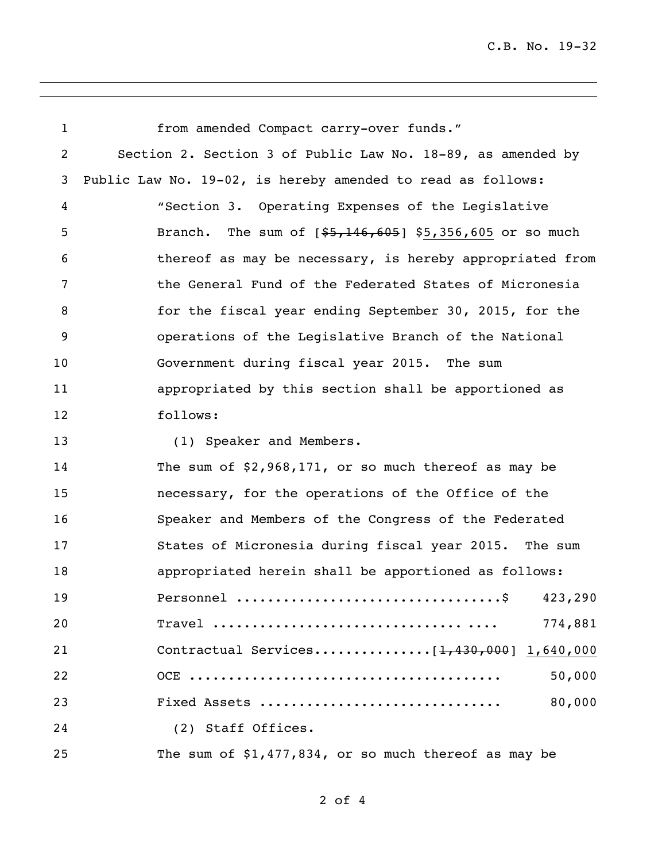| $\mathbf{1}$   | from amended Compact carry-over funds."                                                             |
|----------------|-----------------------------------------------------------------------------------------------------|
| $\overline{c}$ | Section 2. Section 3 of Public Law No. 18-89, as amended by                                         |
| 3              | Public Law No. 19-02, is hereby amended to read as follows:                                         |
| 4              | "Section 3. Operating Expenses of the Legislative                                                   |
| 5              | The sum of $\{\frac{25}{100}, \frac{146}{100}, \frac{605}{100}\}$ \$5,356,605 or so much<br>Branch. |
| 6              | thereof as may be necessary, is hereby appropriated from                                            |
| 7              | the General Fund of the Federated States of Micronesia                                              |
| 8              | for the fiscal year ending September 30, 2015, for the                                              |
| 9              | operations of the Legislative Branch of the National                                                |
| 10             | Government during fiscal year 2015. The sum                                                         |
| 11             | appropriated by this section shall be apportioned as                                                |
| 12             | follows:                                                                                            |
| 13             | (1) Speaker and Members.                                                                            |
| 14             | The sum of $$2,968,171$ , or so much thereof as may be                                              |
| 15             | necessary, for the operations of the Office of the                                                  |
| 16             | Speaker and Members of the Congress of the Federated                                                |
| 17             | States of Micronesia during fiscal year 2015. The sum                                               |
| 18             | appropriated herein shall be apportioned as follows:                                                |
| 19             | 423,290                                                                                             |
| 20             | 774,881                                                                                             |
| 21             |                                                                                                     |
| 22             | 50,000                                                                                              |
| 23             | Fixed Assets<br>80,000                                                                              |
| 24             | (2) Staff Offices.                                                                                  |
| 25             | The sum of $$1,477,834$ , or so much thereof as may be                                              |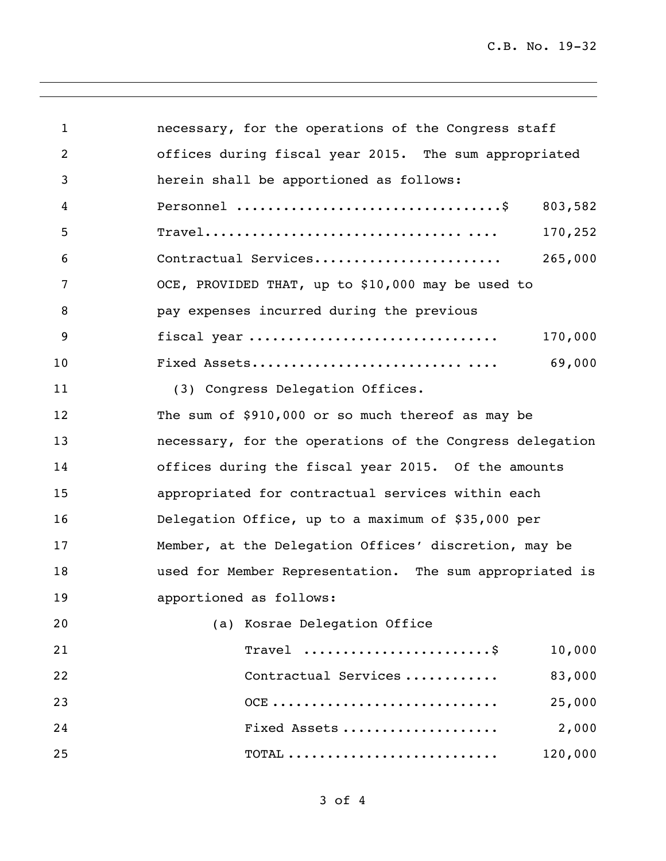| 1  | necessary, for the operations of the Congress staff      |  |  |
|----|----------------------------------------------------------|--|--|
| 2  | offices during fiscal year 2015. The sum appropriated    |  |  |
| 3  | herein shall be apportioned as follows:                  |  |  |
| 4  | 803,582                                                  |  |  |
| 5  | 170,252                                                  |  |  |
| 6  | Contractual Services<br>265,000                          |  |  |
| 7  | OCE, PROVIDED THAT, up to \$10,000 may be used to        |  |  |
| 8  | pay expenses incurred during the previous                |  |  |
| 9  | fiscal year<br>170,000                                   |  |  |
| 10 | 69,000                                                   |  |  |
| 11 | (3) Congress Delegation Offices.                         |  |  |
| 12 | The sum of \$910,000 or so much thereof as may be        |  |  |
| 13 | necessary, for the operations of the Congress delegation |  |  |
| 14 | offices during the fiscal year 2015. Of the amounts      |  |  |
| 15 | appropriated for contractual services within each        |  |  |
| 16 | Delegation Office, up to a maximum of \$35,000 per       |  |  |
| 17 | Member, at the Delegation Offices' discretion, may be    |  |  |
| 18 | used for Member Representation. The sum appropriated is  |  |  |
| 19 | apportioned as follows:                                  |  |  |
| 20 | (a) Kosrae Delegation Office                             |  |  |
| 21 | Travel<br>10,000                                         |  |  |
| 22 | Contractual Services<br>83,000                           |  |  |
| 23 | $OCE$<br>25,000                                          |  |  |
| 24 | Fixed Assets<br>2,000                                    |  |  |
| 25 | $\text{TOTAL}$<br>120,000                                |  |  |